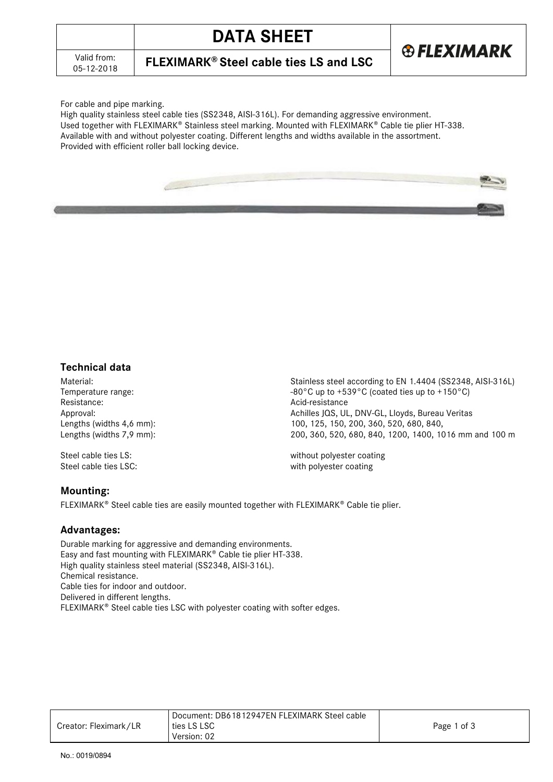05-12-2018 **FLEXIMARK® Steel cable ties LS and LSC**



For cable and pipe marking.

High quality stainless steel cable ties (SS2348, AISI-316L). For demanding aggressive environment. Used together with FLEXIMARK® Stainless steel marking. Mounted with FLEXIMARK® Cable tie plier HT-338. Available with and without polyester coating. Different lengths and widths available in the assortment. Provided with efficient roller ball locking device.



Acid-resistance

## **Technical data**

Material: Material: Stainless steel according to EN 1.4404 (SS2348, AISI-316L)<br>Temperature range: Stainless steel according to EN 1.4404 (SS2348, AISI-316L) Temperature range:  $-80^{\circ}$ C up to  $+539^{\circ}$ C (coated ties up to  $+150^{\circ}$ C)<br>Resistance: Approval: And Achilles JOS, UL, DNV-GL, Lloyds, Bureau Veritas Lengths (widths 4,6 mm): 100, 125, 150, 200, 360, 520, 680, 840, Lengths (widths 7,9 mm): 200, 360, 520, 680, 840, 1200, 1400, 1016 mm and 100 m

Steel cable ties LS: without polyester coating Steel cable ties LSC: with polyester coating

### **Mounting:**

 $FLEXIMARK^{\circ}$  Steel cable ties are easily mounted together with  $FLEXIMARK^{\circ}$  Cable tie plier.

### **Advantages:**

Durable marking for aggressive and demanding environments. Easy and fast mounting with FLEXIMARK<sup>®</sup> Cable tie plier HT-338. High quality stainless steel material (SS2348, AISI-316L). Chemical resistance. Cable ties for indoor and outdoor. Delivered in different lengths. FLEXIMARK<sup>®</sup> Steel cable ties LSC with polyester coating with softer edges.

|                       | Document: DB61812947EN FLEXIMARK Steel cable |             |
|-----------------------|----------------------------------------------|-------------|
| Creator: Fleximark/LR | ties LS LSC                                  | Page 1 of 3 |
|                       | Version: 02                                  |             |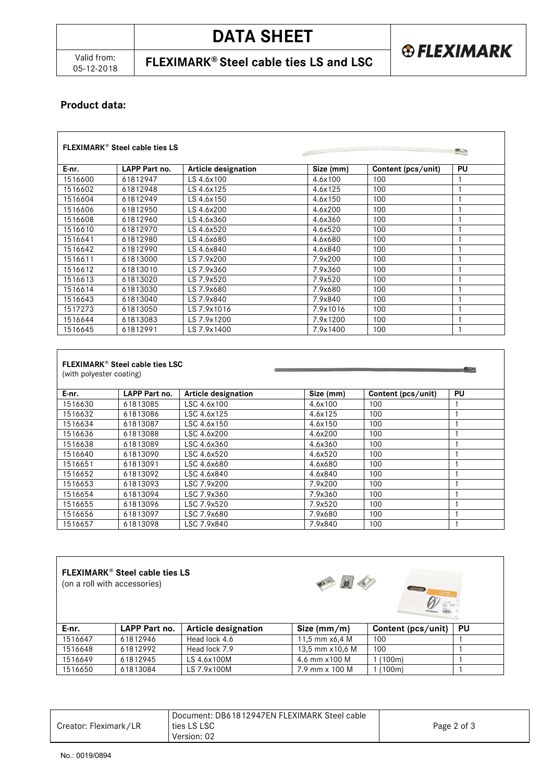05-12-2018 **FLEXIMARK® Steel cable ties LS and LSC**

# **Product data:**

| <b>FLEXIMARK<sup>®</sup> Steel cable ties LS</b> |               |                     |           |                    |    |
|--------------------------------------------------|---------------|---------------------|-----------|--------------------|----|
| E-nr.                                            | LAPP Part no. | Article designation | Size (mm) | Content (pcs/unit) | PU |
| 1516600                                          | 61812947      | LS 4.6x100          | 4.6x100   | 100                |    |
| 1516602                                          | 61812948      | LS 4.6x125          | 4.6x125   | 100                |    |
| 1516604                                          | 61812949      | LS 4.6x150          | 4.6x150   | 100                |    |
| 1516606                                          | 61812950      | LS 4.6x200          | 4.6x200   | 100                |    |
| 1516608                                          | 61812960      | LS 4.6x360          | 4.6x360   | 100                |    |
| 1516610                                          | 61812970      | LS 4.6x520          | 4.6x520   | 100                |    |
| 1516641                                          | 61812980      | LS 4.6x680          | 4.6x680   | 100                |    |
| 1516642                                          | 61812990      | LS 4.6x840          | 4.6x840   | 100                |    |
| 1516611                                          | 61813000      | LS 7.9x200          | 7.9x200   | 100                |    |
| 1516612                                          | 61813010      | LS 7.9x360          | 7.9x360   | 100                |    |
| 1516613                                          | 61813020      | LS 7.9x520          | 7.9x520   | 100                |    |
| 1516614                                          | 61813030      | LS 7.9x680          | 7.9x680   | 100                |    |
| 1516643                                          | 61813040      | LS 7.9x840          | 7.9x840   | 100                |    |
| 1517273                                          | 61813050      | LS 7.9x1016         | 7.9x1016  | 100                |    |
| 1516644                                          | 61813083      | LS 7.9x1200         | 7.9x1200  | 100                |    |
| 1516645                                          | 61812991      | LS 7.9x1400         | 7.9x1400  | 100                |    |

| (with polyester coating) |               |                            |           |                    |    |
|--------------------------|---------------|----------------------------|-----------|--------------------|----|
| E-nr.                    | LAPP Part no. | <b>Article designation</b> | Size (mm) | Content (pcs/unit) | PU |
| 1516630                  | 61813085      | LSC 4.6x100                | 4.6x100   | 100                |    |
| 1516632                  | 61813086      | LSC 4.6x125                | 4.6x125   | 100                |    |
| 1516634                  | 61813087      | LSC 4.6x150                | 4.6x150   | 100                |    |
| 1516636                  | 61813088      | LSC 4.6x200                | 4.6x200   | 100                |    |
| 1516638                  | 61813089      | LSC 4.6x360                | 4.6x360   | 100                |    |
| 1516640                  | 61813090      | LSC 4.6x520                | 4.6x520   | 100                |    |
| 1516651                  | 61813091      | LSC 4.6x680                | 4.6x680   | 100                |    |
| 1516652                  | 61813092      | LSC 4.6x840                | 4.6x840   | 100                |    |
| 1516653                  | 61813093      | LSC 7.9x200                | 7.9x200   | 100                |    |
| 1516654                  | 61813094      | LSC 7.9x360                | 7.9x360   | 100                |    |
| 1516655                  | 61813096      | LSC 7.9x520                | 7.9x520   | 100                |    |
| 1516656                  | 61813097      | LSC 7.9x680                | 7.9x680   | 100                |    |
| 1516657                  | 61813098      | LSC 7.9x840                | 7.9x840   | 100                |    |

# **FLEXIMARK Steel cable ties LS**

(on a roll with accessories)



| E-nr.   | LAPP Part no. | <b>Article designation</b> | Size $(mm/m)$    | Content (pcs/unit) | PU |
|---------|---------------|----------------------------|------------------|--------------------|----|
| 1516647 | 61812946      | Head lock 4.6              | 11.5 mm $x6.4$ M | 100                |    |
| 1516648 | 61812992      | Head lock 7.9              | 13,5 mm x10,6 M  | 100                |    |
| 1516649 | 61812945      | LS 4.6x100M                | 4.6 mm x 100 M   | 1 (100m)           |    |
| 1516650 | 61813084      | LS 7.9x100M                | 7.9 mm x 100 M   | 1 (100m)           |    |

|                       | Document: DB61812947EN FLEXIMARK Steel cable |             |
|-----------------------|----------------------------------------------|-------------|
| Creator: Fleximark/LR | ties LS LSC                                  | Page 2 of 3 |
|                       | Version: 02                                  |             |